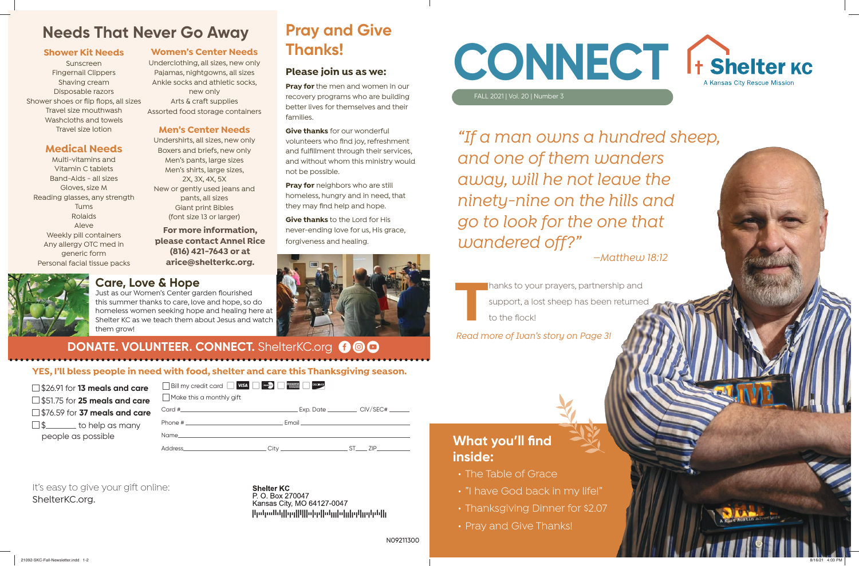FALL 2021 | Vol. 20 | Number 3



**THANKS TO YOUR PRAYERS, partnership and<br>
support, a lost sheep has been returned<br>
to the flock!<br>
Pead more of Juan's story on Page 31** support, a lost sheep has been returned to the flock!

*Read more of Ivan's story on Page 3!*

*"If a man owns a hundred sheep, and one of them wanders away, will he not leave the ninety-nine on the hills and go to look for the one that wandered off?"* 

It's easy to give your gift online: ShelterKC.org.

**Shelter KC** P. O. Box 270047 Kansas City, MO 64127-0047 |կսկանկ||գղ||կ||սիր||սկլիսիլիզկըգին||լ

## *—Matthew 18:12*

**What you'll find inside:**

 $\Box$ \$\_\_\_\_\_\_\_\_ to help as many people as possible

- The Table of Grace
- "I have God back in my life!"
- Thanksgiving Dinner for \$2.07
- Pray and Give Thanks!

**YES, I'll bless people in need with food, shelter and care this Thanksgiving season.**

Bill my credit card VISA **WE ARREST CONSCRUTE** 

| $\Box$ \$26.91 for <b>13 meals and care</b> |  |  |  |
|---------------------------------------------|--|--|--|
|---------------------------------------------|--|--|--|

\$51.75 for **25 meals and care**

\$76.59 for **37 meals and care**

**Pray for** neighbors who are still homeless, hungry and in need, that they may find help and hope.

N09211300

## **Care, Love & Hope**

Just as our Women's Center garden flourished this summer thanks to care, love and hope, so do homeless women seeking hope and healing here at Shelter KC as we teach them about Jesus and watch them grow!

## **DONATE. VOLUNTEER. CONNECT.** ShelterKC.org **@ @ @**

| Make this a monthly gift                                                                                                                                                                                                       |  |
|--------------------------------------------------------------------------------------------------------------------------------------------------------------------------------------------------------------------------------|--|
|                                                                                                                                                                                                                                |  |
|                                                                                                                                                                                                                                |  |
| Name and the state of the state of the state of the state of the state of the state of the state of the state of the state of the state of the state of the state of the state of the state of the state of the state of the s |  |

Address\_\_\_\_\_\_\_\_\_\_\_\_\_\_\_\_\_\_\_\_\_\_\_\_\_\_\_\_\_\_\_City \_\_\_\_\_\_\_\_\_\_\_\_\_\_\_\_\_\_\_\_\_\_\_\_\_\_\_ST\_\_\_\_\_ ZIP

## **Pray and Give Thanks!**

## **Please join us as we:**

**Pray for** the men and women in our recovery programs who are building better lives for themselves and their families.

**Give thanks** for our wonderful volunteers who find joy, refreshment and fulfillment through their services, and without whom this ministry would not be possible.

**Give thanks** to the Lord for His never-ending love for us, His grace, forgiveness and healing.



## **Needs That Never Go Away**

### **Shower Kit Needs**

Sunscreen Fingernail Clippers Shaving cream Disposable razors Shower shoes or flip flops, all sizes Travel size mouthwash Washcloths and towels Travel size lotion

## **Medical Needs**

Multi-vitamins and Vitamin C tablets Band-Aids - all sizes Gloves, size M Reading glasses, any strength Tums Rolaids Aleve Weekly pill containers Any allergy OTC med in generic form Personal facial tissue packs

### **Women's Center Needs**

Underclothing, all sizes, new only Pajamas, nightgowns, all sizes Ankle socks and athletic socks, new only Arts & craft supplies Assorted food storage containers

### **Men's Center Needs**

Undershirts, all sizes, new only Boxers and briefs, new only Men's pants, large sizes Men's shirts, large sizes, 2X, 3X, 4X, 5X New or gently used jeans and pants, all sizes Giant print Bibles (font size 13 or larger)

**For more information, please contact Annel Rice (816) 421-7643 or at arice@shelterkc.org.**